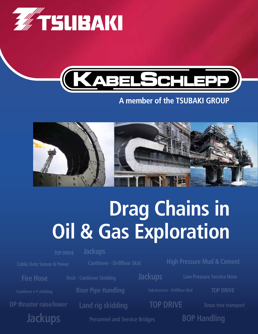



# A member of the TSUBAKI GROUP



# **Drag Chains in Oil & Gas Exploration**

**TOP DRIVE**

**Cable, Date Sensor & Power**

**Cantilever - Drillfloor Skid**

**DP thruster raise/lower Land rig skidding TOP DRIVE Jackups**

**Jackups**

**Riser Pipe Handling**

**High Pressure Mud & Cement**

**Fire Hose Deck - Cantilever Skidding <b>Lackups** Low Pressure Service Hose

**TOP DRIVE**

**Xmas tree transport**

**BOP Handling**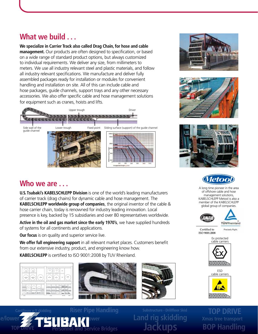# **What we build . . .**

**We specialize in Carrier Track also called Drag Chain, for hose and cable management.** Our products are often designed to specification, or based on a wide range of standard product options, but always customized to individual requirements. We deliver any size, from millimeters to meters. We use all industry relevant steel and plastic materials, and follow all industry relevant specifications. We manufacture and deliver fully assembled packages ready for installation or modules for convenient handling and installation on site. All of this can include cable and hose packages, guide channels, support trays and any other necessary accessories. We also offer specific cable and hose management solutions for equipment such as cranes, hoists and lifts.









# *letoo*

A long time pioneer in the area of offshore cable and hose management solutions, KABELSCHLEPP Metool is also a member of the KABELSCHLEPP global group of companies.





Certified to ISO 9001:2008

**Precisely Right** 

Ex protected cable carriers



ESD cable carriers



**TOP DRIVE Xmas tree transport**

## **Who we are . . .**

**U.S. Tsubaki's KABELSCHLEPP Division** is one of the world's leading manufacturers of carrier track (drag chains) for dynamic cable and hose management. The **KABELSCHLEPP worldwide group of companies**, the original inventor of the cable & hose carrier chain, today is renowned for industry leading innovation. Local presence is key, backed by 15 subsidiaries and over 80 representatives worldwide.

**Active in the oil and gas market since the early 1970's**, we have supplied hundreds of systems for all continents and applications.

**Our focus** is on quality and superior service live.

**We offer full engineering support** in all relevant market places. Customers benefit from our extensive industry, product, and engineering know how.

**KABELSCHLEPP** is certified to ISO 9001:2008 by TUV Rheinland.



**Cantilever x-Y skidding**







**Jackups Tand Service Bridges BOP Handling**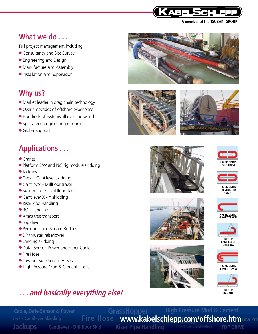

A member of the TSUBAKI GROUP

## **What we do . . .**

Full project management including:

- Consultancy and Site Survey
- Engineering and Design
- Manufacture and Assembly
- Installation and Supervision

## **Why us?**

- Market leader in drag chain technology
- Over 4 decades of offshore experience
- Hundreds of systems all over the world
- Specialized engineering resource
- Global support

# **Applications . . .**

- Cranes
- Platform E/W and N/S rig module skidding
- Jackups
- Deck Cantilever skidding
- Cantilever Drillfloor travel
- Substructure Drillfloor skid
- Cantilever X Y skidding
- Riser Pipe Handling
- BOP Handling
- Xmas tree transport
- Top drive
- Personnel and Service Bridges
- DP thruster raise/lower
- Land rig skidding
- Data, Sensor, Power and other Cable
- Fire Hose
- Low pressure Service Hoses
- High Pressure Mud & Cement Hoses













**RIG SKIDDING -RESTRICTED  HEIGHT**







**CANTILEVER  DRILLING**



**RIG SKIDDING -SHORT TRAVEL**



# **. . . and basically everything else!**

**GrassHopper BOP Handling www.kabelschlepp.com/offshore.htmLow PressCantilever - Drillfloor Skid Riser Pipe Handling High Pressure Mud & Cement Jackups Fire Hose Cable, Date Sensor & Power TOP DRIVE Deck - Cantilever Skidding**